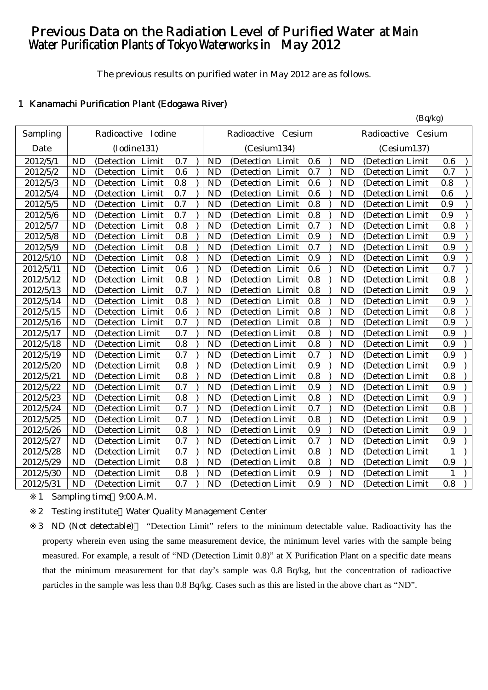# Previous Data on the Radiation Level of Purified Water at Main Water Purification Plants of Tokyo Waterworks in May 2012

The previous results on purified water in May 2012 are as follows.

## 1 Kanamachi Purification Plant (Edogawa River)

|           |           |                     |         |           |                     |     |           | (Bq/kg)               |              |
|-----------|-----------|---------------------|---------|-----------|---------------------|-----|-----------|-----------------------|--------------|
| Sampling  |           | Radioactive Iodine  |         |           | Radioactive Cesium  |     |           | Cesium<br>Radioactive |              |
| Date      |           | (Iodine131)         |         |           | (Cesium134)         |     |           | (Cesium137)           |              |
| 2012/5/1  | <b>ND</b> | (Detection Limit    | 0.7     | <b>ND</b> | (Detection Limit    | 0.6 | <b>ND</b> | (Detection Limit      | 0.6          |
| 2012/5/2  | <b>ND</b> | (Detection Limit    | 0.6     | <b>ND</b> | (Detection Limit    | 0.7 | <b>ND</b> | (Detection Limit      | 0.7          |
| 2012/5/3  | <b>ND</b> | (Detection Limit    | 0.8     | <b>ND</b> | (Detection Limit    | 0.6 | <b>ND</b> | (Detection Limit      | 0.8          |
| 2012/5/4  | <b>ND</b> | (Detection Limit    | 0.7     | <b>ND</b> | (Detection Limit    | 0.6 | <b>ND</b> | (Detection Limit      | 0.6          |
| 2012/5/5  | <b>ND</b> | Limit<br>(Detection | 0.7     | <b>ND</b> | Limit<br>(Detection | 0.8 | <b>ND</b> | (Detection Limit      | 0.9          |
| 2012/5/6  | <b>ND</b> | (Detection Limit    | 0.7     | <b>ND</b> | Limit<br>(Detection | 0.8 | <b>ND</b> | (Detection Limit      | 0.9          |
| 2012/5/7  | <b>ND</b> | (Detection<br>Limit | 0.8     | <b>ND</b> | Limit<br>(Detection | 0.7 | <b>ND</b> | (Detection Limit      | 0.8          |
| 2012/5/8  | <b>ND</b> | (Detection<br>Limit | 0.8     | <b>ND</b> | (Detection<br>Limit | 0.9 | <b>ND</b> | (Detection Limit      | 0.9          |
| 2012/5/9  | <b>ND</b> | (Detection Limit    | 0.8     | <b>ND</b> | Limit<br>(Detection | 0.7 | <b>ND</b> | (Detection Limit      | 0.9          |
| 2012/5/10 | <b>ND</b> | (Detection Limit    | $0.8\,$ | <b>ND</b> | (Detection Limit    | 0.9 | <b>ND</b> | (Detection Limit)     | 0.9          |
| 2012/5/11 | <b>ND</b> | (Detection Limit    | 0.6     | <b>ND</b> | (Detection Limit    | 0.6 | <b>ND</b> | (Detection Limit      | 0.7          |
| 2012/5/12 | <b>ND</b> | Limit<br>(Detection | 0.8     | <b>ND</b> | Limit<br>(Detection | 0.8 | <b>ND</b> | (Detection Limit      | 0.8          |
| 2012/5/13 | <b>ND</b> | (Detection Limit    | 0.7     | <b>ND</b> | Limit<br>(Detection | 0.8 | <b>ND</b> | (Detection Limit)     | 0.9          |
| 2012/5/14 | <b>ND</b> | (Detection Limit    | 0.8     | <b>ND</b> | (Detection Limit    | 0.8 | <b>ND</b> | (Detection Limit      | 0.9          |
| 2012/5/15 | <b>ND</b> | (Detection Limit    | 0.6     | <b>ND</b> | (Detection Limit    | 0.8 | <b>ND</b> | (Detection Limit      | 0.8          |
| 2012/5/16 | <b>ND</b> | (Detection Limit    | 0.7     | <b>ND</b> | (Detection Limit    | 0.8 | <b>ND</b> | (Detection Limit      | 0.9          |
| 2012/5/17 | <b>ND</b> | (Detection Limit    | 0.7     | <b>ND</b> | (Detection Limit    | 0.8 | <b>ND</b> | (Detection Limit      | 0.9          |
| 2012/5/18 | <b>ND</b> | (Detection Limit    | 0.8     | <b>ND</b> | (Detection Limit    | 0.8 | <b>ND</b> | (Detection Limit      | 0.9          |
| 2012/5/19 | <b>ND</b> | (Detection Limit    | 0.7     | <b>ND</b> | (Detection Limit    | 0.7 | <b>ND</b> | (Detection Limit      | 0.9          |
| 2012/5/20 | <b>ND</b> | (Detection Limit    | 0.8     | <b>ND</b> | (Detection Limit    | 0.9 | <b>ND</b> | (Detection Limit      | 0.9          |
| 2012/5/21 | <b>ND</b> | (Detection Limit    | 0.8     | <b>ND</b> | (Detection Limit    | 0.8 | <b>ND</b> | (Detection Limit      | 0.8          |
| 2012/5/22 | <b>ND</b> | (Detection Limit    | 0.7     | <b>ND</b> | (Detection Limit    | 0.9 | <b>ND</b> | (Detection Limit      | 0.9          |
| 2012/5/23 | <b>ND</b> | (Detection Limit    | 0.8     | <b>ND</b> | (Detection Limit    | 0.8 | <b>ND</b> | (Detection Limit      | 0.9          |
| 2012/5/24 | <b>ND</b> | (Detection Limit    | 0.7     | <b>ND</b> | (Detection Limit    | 0.7 | <b>ND</b> | (Detection Limit      | 0.8          |
| 2012/5/25 | <b>ND</b> | (Detection Limit    | 0.7     | <b>ND</b> | (Detection Limit    | 0.8 | <b>ND</b> | (Detection Limit      | 0.9          |
| 2012/5/26 | <b>ND</b> | (Detection Limit    | 0.8     | <b>ND</b> | (Detection Limit    | 0.9 | <b>ND</b> | (Detection Limit      | 0.9          |
| 2012/5/27 | <b>ND</b> | (Detection Limit    | 0.7     | <b>ND</b> | (Detection Limit    | 0.7 | <b>ND</b> | (Detection Limit      | 0.9          |
| 2012/5/28 | <b>ND</b> | (Detection Limit    | 0.7     | <b>ND</b> | (Detection Limit    | 0.8 | <b>ND</b> | (Detection Limit      | $\mathbf{1}$ |
| 2012/5/29 | <b>ND</b> | (Detection Limit    | 0.8     | <b>ND</b> | (Detection Limit    | 0.8 | <b>ND</b> | (Detection Limit      | 0.9          |
| 2012/5/30 | <b>ND</b> | (Detection Limit    | 0.8     | <b>ND</b> | (Detection Limit    | 0.9 | <b>ND</b> | (Detection Limit      | 1            |
| 2012/5/31 | <b>ND</b> | (Detection Limit    | 0.7     | <b>ND</b> | (Detection Limit    | 0.9 | <b>ND</b> | (Detection Limit)     | 0.8          |

1 Sampling time 9:00 A.M.

2 Testing institute Water Quality Management Center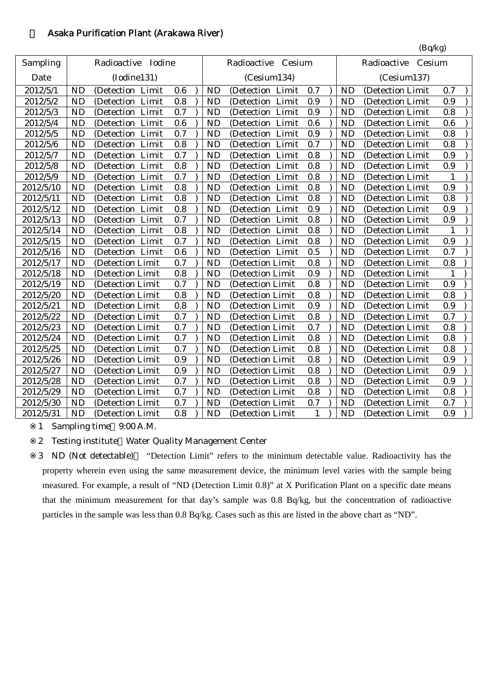## 2 Asaka Purification Plant (Arakawa River)

|           |           |                     |     |           |                     |              |           | (Bq/kg)               |              |
|-----------|-----------|---------------------|-----|-----------|---------------------|--------------|-----------|-----------------------|--------------|
| Sampling  |           | Radioactive Iodine  |     |           | Radioactive Cesium  |              |           | Cesium<br>Radioactive |              |
| Date      |           | (Iodine131)         |     |           | (Cesium134)         |              |           | (Cesium137)           |              |
| 2012/5/1  | <b>ND</b> | (Detection<br>Limit | 0.6 | <b>ND</b> | Limit<br>(Detection | 0.7          | <b>ND</b> | (Detection Limit      | 0.7          |
| 2012/5/2  | <b>ND</b> | Limit<br>(Detection | 0.8 | <b>ND</b> | Limit<br>(Detection | 0.9          | <b>ND</b> | (Detection Limit      | 0.9          |
| 2012/5/3  | <b>ND</b> | Limit<br>(Detection | 0.7 | <b>ND</b> | Limit<br>(Detection | 0.9          | <b>ND</b> | (Detection Limit      | 0.8          |
| 2012/5/4  | <b>ND</b> | (Detection<br>Limit | 0.6 | <b>ND</b> | (Detection<br>Limit | 0.6          | <b>ND</b> | (Detection Limit      | 0.6          |
| 2012/5/5  | <b>ND</b> | (Detection Limit    | 0.7 | <b>ND</b> | (Detection Limit    | 0.9          | <b>ND</b> | (Detection Limit      | 0.8          |
| 2012/5/6  | <b>ND</b> | (Detection Limit    | 0.8 | <b>ND</b> | (Detection Limit    | 0.7          | <b>ND</b> | (Detection Limit      | 0.8          |
| 2012/5/7  | <b>ND</b> | (Detection Limit    | 0.7 | <b>ND</b> | (Detection Limit    | 0.8          | <b>ND</b> | (Detection Limit      | 0.9          |
| 2012/5/8  | <b>ND</b> | Limit<br>(Detection | 0.8 | <b>ND</b> | Limit<br>(Detection | 0.8          | <b>ND</b> | (Detection Limit      | 0.9          |
| 2012/5/9  | <b>ND</b> | Limit<br>(Detection | 0.7 | <b>ND</b> | Limit<br>(Detection | 0.8          | <b>ND</b> | (Detection Limit      | $\mathbf{1}$ |
| 2012/5/10 | <b>ND</b> | (Detection<br>Limit | 0.8 | <b>ND</b> | (Detection<br>Limit | 0.8          | <b>ND</b> | (Detection Limit      | 0.9          |
| 2012/5/11 | <b>ND</b> | (Detection<br>Limit | 0.8 | <b>ND</b> | (Detection<br>Limit | 0.8          | <b>ND</b> | (Detection Limit      | 0.8          |
| 2012/5/12 | <b>ND</b> | (Detection<br>Limit | 0.8 | <b>ND</b> | (Detection Limit    | 0.9          | <b>ND</b> | (Detection Limit      | 0.9          |
| 2012/5/13 | <b>ND</b> | (Detection Limit    | 0.7 | <b>ND</b> | (Detection Limit    | 0.8          | <b>ND</b> | (Detection Limit      | 0.9          |
| 2012/5/14 | <b>ND</b> | (Detection Limit    | 0.8 | <b>ND</b> | (Detection Limit    | 0.8          | <b>ND</b> | (Detection Limit      | $\mathbf{1}$ |
| 2012/5/15 | <b>ND</b> | (Detection Limit    | 0.7 | <b>ND</b> | (Detection Limit    | 0.8          | <b>ND</b> | (Detection Limit      | 0.9          |
| 2012/5/16 | <b>ND</b> | (Detection Limit    | 0.6 | <b>ND</b> | (Detection Limit    | 0.5          | <b>ND</b> | (Detection Limit      | 0.7          |
| 2012/5/17 | <b>ND</b> | (Detection Limit    | 0.7 | <b>ND</b> | (Detection Limit    | 0.8          | <b>ND</b> | (Detection Limit      | 0.8          |
| 2012/5/18 | <b>ND</b> | (Detection Limit    | 0.8 | <b>ND</b> | (Detection Limit    | 0.9          | <b>ND</b> | (Detection Limit      | $\mathbf{1}$ |
| 2012/5/19 | <b>ND</b> | (Detection Limit    | 0.7 | <b>ND</b> | (Detection Limit    | 0.8          | <b>ND</b> | (Detection Limit      | 0.9          |
| 2012/5/20 | <b>ND</b> | (Detection Limit    | 0.8 | <b>ND</b> | (Detection Limit    | 0.8          | <b>ND</b> | (Detection Limit      | 0.8          |
| 2012/5/21 | <b>ND</b> | (Detection Limit    | 0.8 | <b>ND</b> | (Detection Limit    | 0.9          | <b>ND</b> | (Detection Limit      | 0.9          |
| 2012/5/22 | <b>ND</b> | (Detection Limit    | 0.7 | <b>ND</b> | (Detection Limit    | 0.8          | <b>ND</b> | (Detection Limit      | 0.7          |
| 2012/5/23 | <b>ND</b> | (Detection Limit    | 0.7 | <b>ND</b> | (Detection Limit    | 0.7          | <b>ND</b> | (Detection Limit      | 0.8          |
| 2012/5/24 | <b>ND</b> | (Detection Limit    | 0.7 | <b>ND</b> | (Detection Limit    | 0.8          | <b>ND</b> | (Detection Limit      | 0.8          |
| 2012/5/25 | <b>ND</b> | (Detection Limit    | 0.7 | <b>ND</b> | (Detection Limit    | 0.8          | <b>ND</b> | (Detection Limit      | 0.8          |
| 2012/5/26 | <b>ND</b> | (Detection Limit    | 0.9 | <b>ND</b> | (Detection Limit    | 0.8          | <b>ND</b> | (Detection Limit      | 0.9          |
| 2012/5/27 | <b>ND</b> | (Detection Limit    | 0.9 | <b>ND</b> | (Detection Limit    | 0.8          | <b>ND</b> | (Detection Limit      | 0.9          |
| 2012/5/28 | <b>ND</b> | (Detection Limit    | 0.7 | <b>ND</b> | (Detection Limit    | 0.8          | <b>ND</b> | (Detection Limit      | 0.9          |
| 2012/5/29 | <b>ND</b> | (Detection Limit    | 0.7 | <b>ND</b> | (Detection Limit    | 0.8          | <b>ND</b> | (Detection Limit      | 0.8          |
| 2012/5/30 | <b>ND</b> | (Detection Limit    | 0.7 | <b>ND</b> | (Detection Limit    | 0.7          | <b>ND</b> | (Detection Limit      | 0.7          |
| 2012/5/31 | <b>ND</b> | (Detection Limit    | 0.8 | <b>ND</b> | (Detection Limit    | $\mathbf{1}$ | <b>ND</b> | (Detection Limit      | 0.9          |

1 Sampling time 9:00 A.M.

2 Testing institute Water Quality Management Center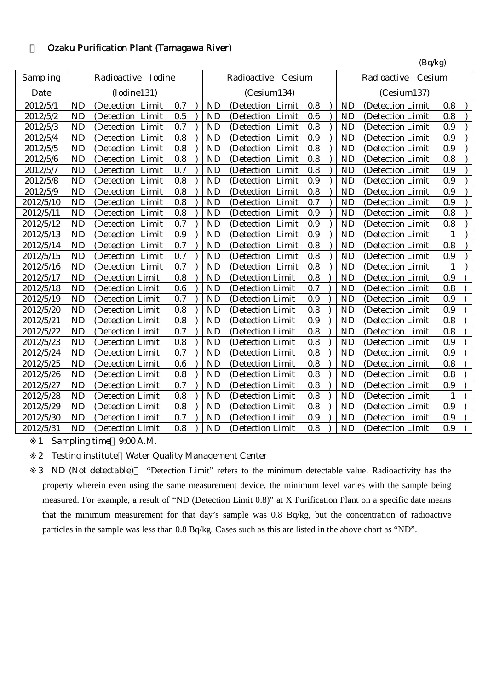## 3 Ozaku Purification Plant (Tamagawa River)

|           |           |                      |     |           |                     |     |           | (Bq/kg)               |              |  |
|-----------|-----------|----------------------|-----|-----------|---------------------|-----|-----------|-----------------------|--------------|--|
| Sampling  |           | Radioactive Iodine   |     |           | Radioactive Cesium  |     |           | Radioactive<br>Cesium |              |  |
| Date      |           | (Iodine131)          |     |           | (Cesium134)         |     |           | (Cesium137)           |              |  |
| 2012/5/1  | <b>ND</b> | (Detection Limit     | 0.7 | <b>ND</b> | (Detection Limit    | 0.8 | <b>ND</b> | (Detection Limit      | 0.8          |  |
| 2012/5/2  | <b>ND</b> | Limit<br>(Detection) | 0.5 | <b>ND</b> | Limit<br>(Detection | 0.6 | <b>ND</b> | (Detection Limit      | 0.8          |  |
| 2012/5/3  | <b>ND</b> | Limit<br>(Detection  | 0.7 | <b>ND</b> | Limit<br>(Detection | 0.8 | <b>ND</b> | (Detection Limit      | 0.9          |  |
| 2012/5/4  | <b>ND</b> | Limit<br>(Detection  | 0.8 | <b>ND</b> | Limit<br>(Detection | 0.9 | <b>ND</b> | (Detection Limit      | 0.9          |  |
| 2012/5/5  | <b>ND</b> | Limit<br>(Detection  | 0.8 | <b>ND</b> | (Detection Limit    | 0.8 | <b>ND</b> | (Detection Limit      | 0.9          |  |
| 2012/5/6  | <b>ND</b> | Limit<br>(Detection  | 0.8 | <b>ND</b> | (Detection Limit    | 0.8 | <b>ND</b> | (Detection Limit      | 0.8          |  |
| 2012/5/7  | <b>ND</b> | Limit<br>(Detection  | 0.7 | <b>ND</b> | (Detection Limit    | 0.8 | <b>ND</b> | (Detection Limit      | 0.9          |  |
| 2012/5/8  | <b>ND</b> | (Detection<br>Limit  | 0.8 | <b>ND</b> | (Detection<br>Limit | 0.9 | <b>ND</b> | (Detection Limit      | 0.9          |  |
| 2012/5/9  | <b>ND</b> | Limit<br>(Detection  | 0.8 | <b>ND</b> | (Detection Limit    | 0.8 | <b>ND</b> | (Detection Limit      | 0.9          |  |
| 2012/5/10 | <b>ND</b> | (Detection Limit     | 0.8 | <b>ND</b> | (Detection Limit    | 0.7 | <b>ND</b> | (Detection Limit      | 0.9          |  |
| 2012/5/11 | <b>ND</b> | (Detection Limit     | 0.8 | <b>ND</b> | (Detection Limit    | 0.9 | <b>ND</b> | (Detection Limit      | 0.8          |  |
| 2012/5/12 | <b>ND</b> | (Detection Limit     | 0.7 | <b>ND</b> | (Detection Limit    | 0.9 | ND        | (Detection Limit      | 0.8          |  |
| 2012/5/13 | <b>ND</b> | Limit<br>(Detection) | 0.9 | <b>ND</b> | (Detection Limit    | 0.9 | <b>ND</b> | (Detection Limit      |              |  |
| 2012/5/14 | <b>ND</b> | Limit<br>(Detection) | 0.7 | <b>ND</b> | (Detection Limit    | 0.8 | <b>ND</b> | (Detection Limit      | 0.8          |  |
| 2012/5/15 | <b>ND</b> | (Detection Limit     | 0.7 | <b>ND</b> | (Detection Limit    | 0.8 | <b>ND</b> | (Detection Limit      | 0.9          |  |
| 2012/5/16 | <b>ND</b> | (Detection Limit     | 0.7 | <b>ND</b> | (Detection Limit    | 0.8 | <b>ND</b> | (Detection Limit      | $\mathbf{1}$ |  |
| 2012/5/17 | <b>ND</b> | (Detection Limit     | 0.8 | <b>ND</b> | (Detection Limit    | 0.8 | <b>ND</b> | (Detection Limit      | 0.9          |  |
| 2012/5/18 | <b>ND</b> | (Detection Limit     | 0.6 | <b>ND</b> | (Detection Limit    | 0.7 | <b>ND</b> | (Detection Limit      | 0.8          |  |
| 2012/5/19 | <b>ND</b> | (Detection Limit     | 0.7 | <b>ND</b> | (Detection Limit    | 0.9 | <b>ND</b> | (Detection Limit      | 0.9          |  |
| 2012/5/20 | <b>ND</b> | (Detection Limit     | 0.8 | <b>ND</b> | (Detection Limit    | 0.8 | <b>ND</b> | (Detection Limit      | 0.9          |  |
| 2012/5/21 | <b>ND</b> | (Detection Limit     | 0.8 | <b>ND</b> | (Detection Limit    | 0.9 | <b>ND</b> | (Detection Limit      | 0.8          |  |
| 2012/5/22 | <b>ND</b> | (Detection Limit     | 0.7 | <b>ND</b> | (Detection Limit    | 0.8 | <b>ND</b> | (Detection Limit      | 0.8          |  |
| 2012/5/23 | <b>ND</b> | (Detection Limit     | 0.8 | <b>ND</b> | (Detection Limit    | 0.8 | <b>ND</b> | (Detection Limit      | 0.9          |  |
| 2012/5/24 | <b>ND</b> | (Detection Limit     | 0.7 | <b>ND</b> | (Detection Limit    | 0.8 | <b>ND</b> | (Detection Limit      | 0.9          |  |
| 2012/5/25 | <b>ND</b> | (Detection Limit     | 0.6 | <b>ND</b> | (Detection Limit    | 0.8 | <b>ND</b> | (Detection Limit      | 0.8          |  |
| 2012/5/26 | <b>ND</b> | (Detection Limit     | 0.8 | <b>ND</b> | (Detection Limit    | 0.8 | <b>ND</b> | (Detection Limit      | 0.8          |  |
| 2012/5/27 | <b>ND</b> | (Detection Limit     | 0.7 | <b>ND</b> | (Detection Limit    | 0.8 | <b>ND</b> | (Detection Limit      | 0.9          |  |
| 2012/5/28 | <b>ND</b> | (Detection Limit     | 0.8 | <b>ND</b> | (Detection Limit    | 0.8 | <b>ND</b> | (Detection Limit      | 1            |  |
| 2012/5/29 | <b>ND</b> | (Detection Limit     | 0.8 | <b>ND</b> | (Detection Limit    | 0.8 | <b>ND</b> | (Detection Limit      | 0.9          |  |
| 2012/5/30 | <b>ND</b> | (Detection Limit     | 0.7 | <b>ND</b> | (Detection Limit    | 0.9 | <b>ND</b> | (Detection Limit      | 0.9          |  |
| 2012/5/31 | <b>ND</b> | (Detection Limit     | 0.8 | <b>ND</b> | (Detection Limit    | 0.8 | <b>ND</b> | (Detection Limit      | 0.9          |  |

1 Sampling time 9:00 A.M.

2 Testing institute Water Quality Management Center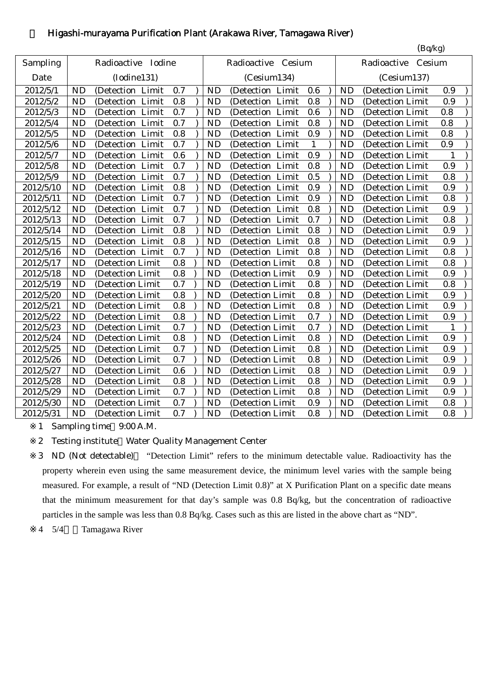## 4 Higashi-murayama Purification Plant (Arakawa River, Tamagawa River)

|           |           |                    |     |           |                     |              |           | (Bq/kg)               |              |
|-----------|-----------|--------------------|-----|-----------|---------------------|--------------|-----------|-----------------------|--------------|
| Sampling  |           | Radioactive Iodine |     |           | Radioactive Cesium  |              |           | Radioactive<br>Cesium |              |
| Date      |           | (Iodine131)        |     |           | (Cesium134)         |              |           | (Cesium137)           |              |
| 2012/5/1  | ND        | (Detection Limit   | 0.7 | <b>ND</b> | (Detection Limit    | 0.6          | <b>ND</b> | (Detection Limit      | 0.9          |
| 2012/5/2  | <b>ND</b> | (Detection Limit   | 0.8 | <b>ND</b> | (Detection Limit    | 0.8          | <b>ND</b> | (Detection Limit      | 0.9          |
| 2012/5/3  | <b>ND</b> | (Detection Limit   | 0.7 | <b>ND</b> | (Detection Limit    | 0.6          | <b>ND</b> | (Detection Limit      | 0.8          |
| 2012/5/4  | <b>ND</b> | (Detection Limit   | 0.7 | <b>ND</b> | (Detection Limit    | 0.8          | <b>ND</b> | (Detection Limit      | 0.8          |
| 2012/5/5  | <b>ND</b> | (Detection Limit   | 0.8 | <b>ND</b> | (Detection Limit    | 0.9          | <b>ND</b> | (Detection Limit      | 0.8          |
| 2012/5/6  | <b>ND</b> | (Detection Limit   | 0.7 | <b>ND</b> | Limit<br>(Detection | $\mathbf{1}$ | <b>ND</b> | (Detection Limit      | 0.9          |
| 2012/5/7  | <b>ND</b> | (Detection Limit   | 0.6 | <b>ND</b> | Limit<br>(Detection | 0.9          | <b>ND</b> | (Detection Limit      | $\mathbf{1}$ |
| 2012/5/8  | <b>ND</b> | (Detection Limit   | 0.7 | <b>ND</b> | (Detection Limit    | 0.8          | <b>ND</b> | (Detection Limit      | 0.9          |
| 2012/5/9  | <b>ND</b> | (Detection Limit   | 0.7 | <b>ND</b> | (Detection<br>Limit | 0.5          | <b>ND</b> | (Detection Limit      | 0.8          |
| 2012/5/10 | <b>ND</b> | (Detection Limit   | 0.8 | <b>ND</b> | (Detection<br>Limit | 0.9          | <b>ND</b> | (Detection Limit      | 0.9          |
| 2012/5/11 | <b>ND</b> | (Detection Limit   | 0.7 | <b>ND</b> | (Detection Limit    | 0.9          | <b>ND</b> | (Detection Limit      | 0.8          |
| 2012/5/12 | <b>ND</b> | (Detection Limit   | 0.7 | <b>ND</b> | (Detection Limit    | 0.8          | <b>ND</b> | (Detection Limit      | 0.9          |
| 2012/5/13 | <b>ND</b> | (Detection Limit   | 0.7 | <b>ND</b> | (Detection Limit    | 0.7          | <b>ND</b> | (Detection Limit      | 0.8          |
| 2012/5/14 | <b>ND</b> | (Detection Limit   | 0.8 | <b>ND</b> | (Detection Limit    | 0.8          | <b>ND</b> | (Detection Limit      | 0.9          |
| 2012/5/15 | <b>ND</b> | (Detection Limit   | 0.8 | <b>ND</b> | (Detection Limit    | 0.8          | <b>ND</b> | (Detection Limit      | 0.9          |
| 2012/5/16 | <b>ND</b> | (Detection Limit   | 0.7 | <b>ND</b> | (Detection Limit    | 0.8          | <b>ND</b> | (Detection Limit      | 0.8          |
| 2012/5/17 | <b>ND</b> | (Detection Limit   | 0.8 | <b>ND</b> | (Detection Limit    | 0.8          | <b>ND</b> | (Detection Limit      | 0.8          |
| 2012/5/18 | <b>ND</b> | (Detection Limit   | 0.8 | <b>ND</b> | (Detection Limit    | 0.9          | <b>ND</b> | (Detection Limit      | 0.9          |
| 2012/5/19 | <b>ND</b> | (Detection Limit   | 0.7 | <b>ND</b> | (Detection Limit    | 0.8          | <b>ND</b> | (Detection Limit      | 0.8          |
| 2012/5/20 | <b>ND</b> | (Detection Limit   | 0.8 | <b>ND</b> | (Detection Limit    | 0.8          | <b>ND</b> | (Detection Limit      | 0.9          |
| 2012/5/21 | <b>ND</b> | (Detection Limit   | 0.8 | <b>ND</b> | (Detection Limit)   | 0.8          | <b>ND</b> | (Detection Limit      | 0.9          |
| 2012/5/22 | <b>ND</b> | (Detection Limit   | 0.8 | <b>ND</b> | (Detection Limit    | 0.7          | <b>ND</b> | (Detection Limit      | 0.9          |
| 2012/5/23 | <b>ND</b> | (Detection Limit   | 0.7 | <b>ND</b> | (Detection Limit    | 0.7          | <b>ND</b> | (Detection Limit      | $\mathbf{1}$ |
| 2012/5/24 | <b>ND</b> | (Detection Limit   | 0.8 | <b>ND</b> | (Detection Limit    | 0.8          | <b>ND</b> | (Detection Limit      | 0.9          |
| 2012/5/25 | <b>ND</b> | (Detection Limit   | 0.7 | <b>ND</b> | (Detection Limit    | 0.8          | <b>ND</b> | (Detection Limit      | 0.9          |
| 2012/5/26 | <b>ND</b> | (Detection Limit   | 0.7 | <b>ND</b> | (Detection Limit    | 0.8          | <b>ND</b> | (Detection Limit      | 0.9          |
| 2012/5/27 | <b>ND</b> | (Detection Limit   | 0.6 | <b>ND</b> | (Detection Limit    | 0.8          | <b>ND</b> | (Detection Limit      | 0.9          |
| 2012/5/28 | <b>ND</b> | (Detection Limit   | 0.8 | <b>ND</b> | (Detection Limit    | 0.8          | <b>ND</b> | (Detection Limit      | 0.9          |
| 2012/5/29 | <b>ND</b> | (Detection Limit   | 0.7 | <b>ND</b> | (Detection Limit    | 0.8          | <b>ND</b> | (Detection Limit      | 0.9          |
| 2012/5/30 | <b>ND</b> | (Detection Limit   | 0.7 | <b>ND</b> | (Detection Limit    | 0.9          | <b>ND</b> | (Detection Limit      | 0.8          |
| 2012/5/31 | <b>ND</b> | (Detection Limit   | 0.7 | <b>ND</b> | (Detection Limit    | 0.8          | <b>ND</b> | (Detection Limit      | 0.8          |

1 Sampling time 9:00 A.M.

2 Testing institute Water Quality Management Center

3 ND (Not detectable) "Detection Limit" refers to the minimum detectable value. Radioactivity has the property wherein even using the same measurement device, the minimum level varies with the sample being measured. For example, a result of "ND (Detection Limit 0.8)" at X Purification Plant on a specific date means that the minimum measurement for that day's sample was 0.8 Bq/kg, but the concentration of radioactive particles in the sample was less than 0.8 Bq/kg. Cases such as this are listed in the above chart as "ND".

4 5/4~:Tamagawa River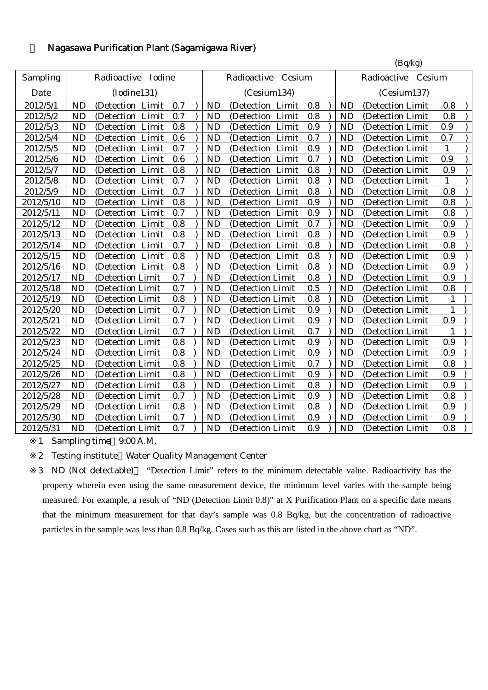## 5 Nagasawa Purification Plant (Sagamigawa River)

|           |           |                      |     |           |                      |     |           | (Bq/kg)            |              |  |
|-----------|-----------|----------------------|-----|-----------|----------------------|-----|-----------|--------------------|--------------|--|
| Sampling  |           | Radioactive Iodine   |     |           | Radioactive Cesium   |     |           | Radioactive Cesium |              |  |
| Date      |           | (Iodine131)          |     |           | (Cesium134)          |     |           | (Cesium137)        |              |  |
| 2012/5/1  | <b>ND</b> | (Detection Limit     | 0.7 | <b>ND</b> | (Detection Limit     | 0.8 | <b>ND</b> | (Detection Limit   | 0.8          |  |
| 2012/5/2  | <b>ND</b> | (Detection Limit     | 0.7 | <b>ND</b> | (Detection Limit     | 0.8 | <b>ND</b> | (Detection Limit   | 0.8          |  |
| 2012/5/3  | <b>ND</b> | (Detection Limit     | 0.8 | <b>ND</b> | (Detection Limit     | 0.9 | <b>ND</b> | (Detection Limit   | 0.9          |  |
| 2012/5/4  | <b>ND</b> | Limit<br>(Detection) | 0.6 | <b>ND</b> | Limit<br>(Detection) | 0.7 | <b>ND</b> | (Detection Limit   | 0.7          |  |
| 2012/5/5  | <b>ND</b> | (Detection Limit     | 0.7 | <b>ND</b> | (Detection Limit     | 0.9 | <b>ND</b> | (Detection Limit   | $\mathbf{1}$ |  |
| 2012/5/6  | <b>ND</b> | (Detection Limit     | 0.6 | <b>ND</b> | (Detection Limit     | 0.7 | <b>ND</b> | (Detection Limit   | 0.9          |  |
| 2012/5/7  | <b>ND</b> | (Detection Limit     | 0.8 | <b>ND</b> | (Detection Limit     | 0.8 | <b>ND</b> | (Detection Limit   | 0.9          |  |
| 2012/5/8  | <b>ND</b> | (Detection Limit     | 0.7 | <b>ND</b> | (Detection Limit     | 0.8 | <b>ND</b> | (Detection Limit   | $\mathbf{1}$ |  |
| 2012/5/9  | <b>ND</b> | (Detection Limit     | 0.7 | <b>ND</b> | (Detection Limit     | 0.8 | <b>ND</b> | (Detection Limit   | 0.8          |  |
| 2012/5/10 | <b>ND</b> | (Detection Limit     | 0.8 | <b>ND</b> | (Detection Limit     | 0.9 | <b>ND</b> | (Detection Limit   | 0.8          |  |
| 2012/5/11 | <b>ND</b> | (Detection Limit     | 0.7 | <b>ND</b> | (Detection Limit     | 0.9 | <b>ND</b> | (Detection Limit   | 0.8          |  |
| 2012/5/12 | <b>ND</b> | (Detection Limit     | 0.8 | <b>ND</b> | (Detection Limit     | 0.7 | <b>ND</b> | (Detection Limit   | 0.9          |  |
| 2012/5/13 | <b>ND</b> | (Detection Limit     | 0.8 | <b>ND</b> | (Detection Limit     | 0.8 | <b>ND</b> | (Detection Limit   | 0.9          |  |
| 2012/5/14 | <b>ND</b> | (Detection Limit     | 0.7 | <b>ND</b> | (Detection Limit     | 0.8 | <b>ND</b> | (Detection Limit   | 0.8          |  |
| 2012/5/15 | <b>ND</b> | (Detection Limit     | 0.8 | <b>ND</b> | (Detection Limit     | 0.8 | <b>ND</b> | (Detection Limit   | 0.9          |  |
| 2012/5/16 | <b>ND</b> | (Detection Limit     | 0.8 | <b>ND</b> | (Detection Limit     | 0.8 | <b>ND</b> | (Detection Limit   | 0.9          |  |
| 2012/5/17 | <b>ND</b> | (Detection Limit     | 0.7 | <b>ND</b> | (Detection Limit     | 0.8 | <b>ND</b> | (Detection Limit   | 0.9          |  |
| 2012/5/18 | <b>ND</b> | (Detection Limit     | 0.7 | <b>ND</b> | (Detection Limit     | 0.5 | <b>ND</b> | (Detection Limit   | 0.8          |  |
| 2012/5/19 | <b>ND</b> | (Detection Limit     | 0.8 | <b>ND</b> | (Detection Limit     | 0.8 | <b>ND</b> | (Detection Limit   | $\mathbf{1}$ |  |
| 2012/5/20 | <b>ND</b> | (Detection Limit     | 0.7 | <b>ND</b> | (Detection Limit     | 0.9 | <b>ND</b> | (Detection Limit   | $\mathbf{1}$ |  |
| 2012/5/21 | <b>ND</b> | (Detection Limit     | 0.7 | <b>ND</b> | (Detection Limit     | 0.9 | <b>ND</b> | (Detection Limit   | 0.9          |  |
| 2012/5/22 | <b>ND</b> | (Detection Limit     | 0.7 | <b>ND</b> | (Detection Limit     | 0.7 | <b>ND</b> | (Detection Limit   |              |  |
| 2012/5/23 | <b>ND</b> | (Detection Limit     | 0.8 | <b>ND</b> | (Detection Limit     | 0.9 | <b>ND</b> | (Detection Limit   | 0.9          |  |
| 2012/5/24 | <b>ND</b> | (Detection Limit     | 0.8 | <b>ND</b> | (Detection Limit     | 0.9 | <b>ND</b> | (Detection Limit   | 0.9          |  |
| 2012/5/25 | <b>ND</b> | (Detection Limit     | 0.8 | <b>ND</b> | (Detection Limit     | 0.7 | <b>ND</b> | (Detection Limit   | 0.8          |  |
| 2012/5/26 | <b>ND</b> | (Detection Limit     | 0.8 | <b>ND</b> | (Detection Limit     | 0.9 | <b>ND</b> | (Detection Limit   | 0.9          |  |
| 2012/5/27 | <b>ND</b> | (Detection Limit     | 0.8 | <b>ND</b> | (Detection Limit     | 0.8 | <b>ND</b> | (Detection Limit   | 0.9          |  |
| 2012/5/28 | <b>ND</b> | (Detection Limit     | 0.7 | <b>ND</b> | (Detection Limit     | 0.9 | <b>ND</b> | (Detection Limit   | 0.8          |  |
| 2012/5/29 | <b>ND</b> | (Detection Limit     | 0.8 | <b>ND</b> | (Detection Limit     | 0.8 | <b>ND</b> | (Detection Limit   | 0.9          |  |
| 2012/5/30 | <b>ND</b> | (Detection Limit     | 0.7 | <b>ND</b> | (Detection Limit     | 0.9 | <b>ND</b> | (Detection Limit   | 0.9          |  |
| 2012/5/31 | <b>ND</b> | (Detection Limit     | 0.7 | <b>ND</b> | (Detection Limit     | 0.9 | <b>ND</b> | (Detection Limit   | 0.8          |  |
|           |           |                      |     |           |                      |     |           |                    |              |  |

1 Sampling time 9:00 A.M.

2 Testing institute Water Quality Management Center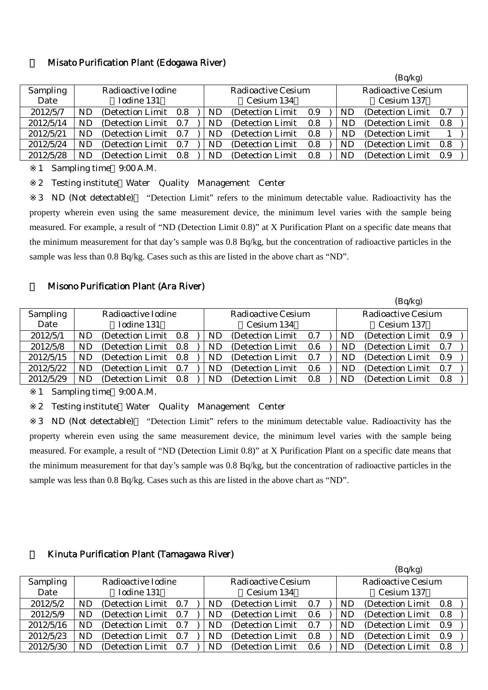### 6 Misato Purification Plant (Edogawa River)

|                 |           |                    |         |    |                    |                           |  |    | (Bq/Kg)           |     |  |  |
|-----------------|-----------|--------------------|---------|----|--------------------|---------------------------|--|----|-------------------|-----|--|--|
| <b>Sampling</b> |           | Radioactive Iodine |         |    | Radioactive Cesium | <b>Radioactive Cesium</b> |  |    |                   |     |  |  |
| Date            |           | Iodine 131         |         |    | Cesium 134         |                           |  |    | Cesium 137        |     |  |  |
| 2012/5/7        | ND        | (Detection Limit)  | $0.8\,$ | ND | (Detection Limit)  | 0.9                       |  | ND | (Detection Limit) | 0.7 |  |  |
| 2012/5/14       | <b>ND</b> | (Detection Limit)  | 0.7     | ND | (Detection Limit)  | 0.8                       |  | ND | (Detection Limit) | 0.8 |  |  |
| 2012/5/21       | ND        | (Detection Limit)  | 0.7     | ND | (Detection Limit)  | 0.8                       |  | ND | (Detection Limit) |     |  |  |
| 2012/5/24       | ND        | (Detection Limit)  | 0.7     | ND | (Detection Limit)  | 0.8                       |  | ND | (Detection Limit) | 0.8 |  |  |
| 2012/5/28       | ND        | (Detection Limit)  | 0.8     | ND | (Detection Limit)  | 0.8                       |  | ND | (Detection Limit) | 0.9 |  |  |

 $(n, q)$ 

1 Sampling time 9:00 A.M.

2 Testing institute Water Quality Management Center

3 ND (Not detectable) "Detection Limit" refers to the minimum detectable value. Radioactivity has the property wherein even using the same measurement device, the minimum level varies with the sample being measured. For example, a result of "ND (Detection Limit 0.8)" at X Purification Plant on a specific date means that the minimum measurement for that day's sample was 0.8 Bq/kg, but the concentration of radioactive particles in the sample was less than 0.8 Bq/kg. Cases such as this are listed in the above chart as "ND".

### **Misono Purification Plant (Ara River)**

|                 |     |                       |           |                           |     |  |                           | (Bq/kg)               |     |  |  |
|-----------------|-----|-----------------------|-----------|---------------------------|-----|--|---------------------------|-----------------------|-----|--|--|
| <b>Sampling</b> |     | Radioactive Iodine    |           | <b>Radioactive Cesium</b> |     |  | <b>Radioactive Cesium</b> |                       |     |  |  |
| Date            |     | Iodine 131            |           | Cesium 134                |     |  |                           | Cesium 137            |     |  |  |
| 2012/5/1        | ND. | (Detection Limit 0.8) | ND.       | (Detection Limit)         | 0.7 |  | <b>ND</b>                 | (Detection Limit 0.9) |     |  |  |
| 2012/5/8        | ND. | (Detection Limit 0.8) | <b>ND</b> | (Detection Limit)         | 0.6 |  | ND                        | (Detection Limit 0.7) |     |  |  |
| 2012/5/15       | ND. | (Detection Limit 0.8) | <b>ND</b> | (Detection Limit)         | 0.7 |  | ND                        | (Detection Limit 0.9) |     |  |  |
| 2012/5/22       | ND. | (Detection Limit 0.7) | ND        | (Detection Limit)         | 0.6 |  | ND                        | (Detection Limit)     | 0.7 |  |  |
| 2012/5/29       | ND. | (Detection Limit 0.8) | ND        | (Detection Limit)         | 0.8 |  | ND                        | (Detection Limit)     | 0.8 |  |  |

1 Sampling time 9:00 A.M.

2 Testing institute Water Quality Management Center

3 ND (Not detectable) "Detection Limit" refers to the minimum detectable value. Radioactivity has the property wherein even using the same measurement device, the minimum level varies with the sample being measured. For example, a result of "ND (Detection Limit 0.8)" at X Purification Plant on a specific date means that the minimum measurement for that day's sample was 0.8 Bq/kg, but the concentration of radioactive particles in the sample was less than 0.8 Bq/kg. Cases such as this are listed in the above chart as "ND".

#### 8 Kinuta Purification Plant (Tamagawa River)

|                 |           |                       |  |            |                           |     |  |                           | (Bq/kg)               |       |  |
|-----------------|-----------|-----------------------|--|------------|---------------------------|-----|--|---------------------------|-----------------------|-------|--|
| <b>Sampling</b> |           | Radioactive Iodine    |  |            | <b>Radioactive Cesium</b> |     |  | <b>Radioactive Cesium</b> |                       |       |  |
| Date            |           | Iodine 131            |  | Cesium 134 |                           |     |  |                           | Cesium 137            |       |  |
| 2012/5/2        | <b>ND</b> | (Detection Limit 0.7) |  | ND         | (Detection Limit)         | 0.7 |  | ND                        | (Detection Limit 0.8) |       |  |
| 2012/5/9        | ND.       | (Detection Limit 0.7) |  | ND         | (Detection Limit)         | 0.6 |  | ND                        | (Detection Limit 0.8) |       |  |
| 2012/5/16       | ND.       | (Detection Limit 0.7) |  | ND.        | (Detection Limit)         | 0.7 |  | ND.                       | (Detection Limit)     | - 0.9 |  |
| 2012/5/23       | <b>ND</b> | (Detection Limit 0.7) |  | ND.        | (Detection Limit)         | 0.8 |  | ND                        | (Detection Limit)     | 0.9   |  |
| 2012/5/30       | <b>ND</b> | (Detection Limit 0.7) |  | ND         | (Detection Limit)         | 0.6 |  | ND                        | (Detection Limit 0.8) |       |  |